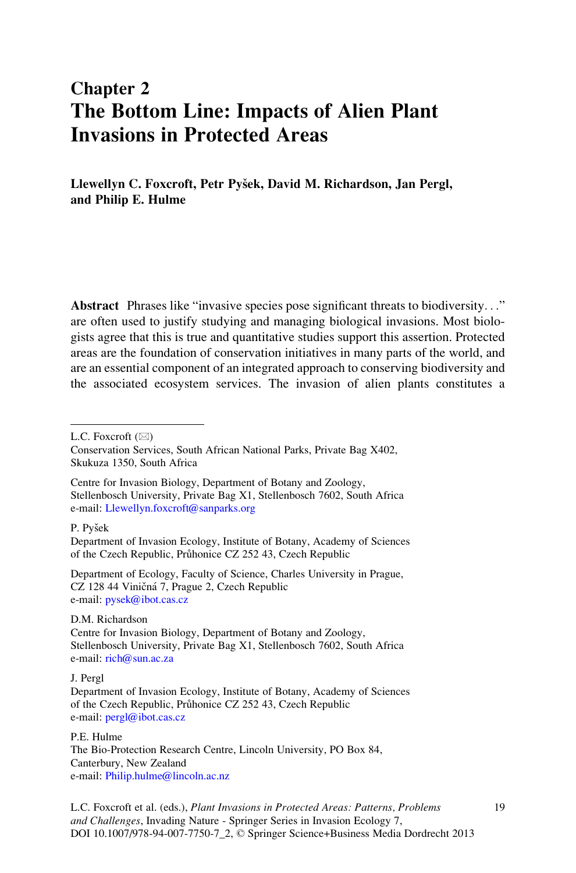# Chapter 2 The Bottom Line: Impacts of Alien Plant Invasions in Protected Areas

Llewellyn C. Foxcroft, Petr Pyšek, David M. Richardson, Jan Pergl, and Philip E. Hulme

Abstract Phrases like "invasive species pose significant threats to biodiversity..." are often used to justify studying and managing biological invasions. Most biologists agree that this is true and quantitative studies support this assertion. Protected areas are the foundation of conservation initiatives in many parts of the world, and are an essential component of an integrated approach to conserving biodiversity and the associated ecosystem services. The invasion of alien plants constitutes a

L.C. Foxcroft  $(\boxtimes)$ 

P. Pyšek

Department of Invasion Ecology, Institute of Botany, Academy of Sciences of the Czech Republic, Průhonice CZ 252 43, Czech Republic

Department of Ecology, Faculty of Science, Charles University in Prague, CZ 128 44 Viničná 7, Prague 2, Czech Republic e-mail: [pysek@ibot.cas.cz](mailto:pysek@ibot.cas.cz)

D.M. Richardson Centre for Invasion Biology, Department of Botany and Zoology, Stellenbosch University, Private Bag X1, Stellenbosch 7602, South Africa e-mail: [rich@sun.ac.za](mailto:rich@sun.ac.za)

J. Pergl

P.E. Hulme The Bio-Protection Research Centre, Lincoln University, PO Box 84, Canterbury, New Zealand e-mail: [Philip.hulme@lincoln.ac.nz](mailto:Philip.hulme@lincoln.ac.nz)

Conservation Services, South African National Parks, Private Bag X402, Skukuza 1350, South Africa

Centre for Invasion Biology, Department of Botany and Zoology, Stellenbosch University, Private Bag X1, Stellenbosch 7602, South Africa e-mail: [Llewellyn.foxcroft@sanparks.org](mailto:Llewellyn.foxcroft@sanparks.org)

Department of Invasion Ecology, Institute of Botany, Academy of Sciences of the Czech Republic, Průhonice CZ 252 43, Czech Republic e-mail: [pergl@ibot.cas.cz](mailto:pergl@ibot.cas.cz)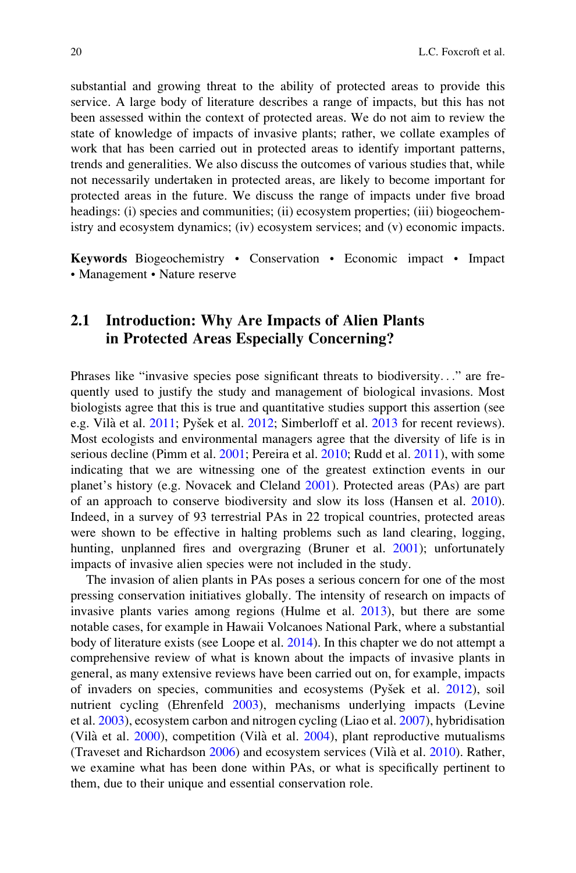substantial and growing threat to the ability of protected areas to provide this service. A large body of literature describes a range of impacts, but this has not been assessed within the context of protected areas. We do not aim to review the state of knowledge of impacts of invasive plants; rather, we collate examples of work that has been carried out in protected areas to identify important patterns, trends and generalities. We also discuss the outcomes of various studies that, while not necessarily undertaken in protected areas, are likely to become important for protected areas in the future. We discuss the range of impacts under five broad headings: (i) species and communities; (ii) ecosystem properties; (iii) biogeochemistry and ecosystem dynamics; (iv) ecosystem services; and (v) economic impacts.

Keywords Biogeochemistry • Conservation • Economic impact • Impact • Management • Nature reserve

# 2.1 Introduction: Why Are Impacts of Alien Plants in Protected Areas Especially Concerning?

Phrases like "invasive species pose significant threats to biodiversity..." are frequently used to justify the study and management of biological invasions. Most biologists agree that this is true and quantitative studies support this assertion (see e.g. Vilà et al. [2011](#page-22-0); Pyšek et al. [2012](#page-20-0); Simberloff et al. [2013](#page-21-0) for recent reviews). Most ecologists and environmental managers agree that the diversity of life is in serious decline (Pimm et al. [2001](#page-20-0); Pereira et al. [2010](#page-20-0); Rudd et al. [2011](#page-21-0)), with some indicating that we are witnessing one of the greatest extinction events in our planet's history (e.g. Novacek and Cleland [2001\)](#page-20-0). Protected areas (PAs) are part of an approach to conserve biodiversity and slow its loss (Hansen et al. [2010\)](#page-18-0). Indeed, in a survey of 93 terrestrial PAs in 22 tropical countries, protected areas were shown to be effective in halting problems such as land clearing, logging, hunting, unplanned fires and overgrazing (Bruner et al. [2001\)](#page-17-0); unfortunately impacts of invasive alien species were not included in the study.

The invasion of alien plants in PAs poses a serious concern for one of the most pressing conservation initiatives globally. The intensity of research on impacts of invasive plants varies among regions (Hulme et al. [2013](#page-18-0)), but there are some notable cases, for example in Hawaii Volcanoes National Park, where a substantial body of literature exists (see Loope et al. [2014](#page-19-0)). In this chapter we do not attempt a comprehensive review of what is known about the impacts of invasive plants in general, as many extensive reviews have been carried out on, for example, impacts of invaders on species, communities and ecosystems (Pyšek et al. [2012\)](#page-20-0), soil nutrient cycling (Ehrenfeld [2003\)](#page-17-0), mechanisms underlying impacts (Levine et al. [2003](#page-19-0)), ecosystem carbon and nitrogen cycling (Liao et al. [2007\)](#page-19-0), hybridisation (Vila` et al. [2000](#page-22-0)), competition (Vila` et al. [2004\)](#page-22-0), plant reproductive mutualisms (Traveset and Richardson [2006\)](#page-21-0) and ecosystem services (Vila` et al. [2010\)](#page-22-0). Rather, we examine what has been done within PAs, or what is specifically pertinent to them, due to their unique and essential conservation role.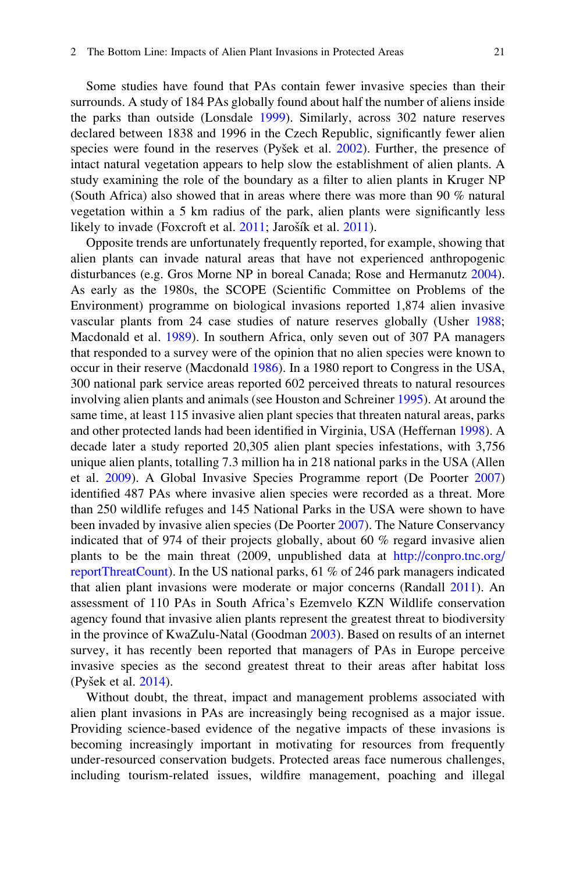Some studies have found that PAs contain fewer invasive species than their surrounds. A study of 184 PAs globally found about half the number of aliens inside the parks than outside (Lonsdale [1999](#page-19-0)). Similarly, across 302 nature reserves declared between 1838 and 1996 in the Czech Republic, significantly fewer alien species were found in the reserves (Pysek et al.  $2002$ ). Further, the presence of intact natural vegetation appears to help slow the establishment of alien plants. A study examining the role of the boundary as a filter to alien plants in Kruger NP (South Africa) also showed that in areas where there was more than 90 % natural vegetation within a 5 km radius of the park, alien plants were significantly less likely to invade (Foxcroft et al. [2011;](#page-17-0) Jarošík et al. [2011\)](#page-18-0).

Opposite trends are unfortunately frequently reported, for example, showing that alien plants can invade natural areas that have not experienced anthropogenic disturbances (e.g. Gros Morne NP in boreal Canada; Rose and Hermanutz [2004\)](#page-20-0). As early as the 1980s, the SCOPE (Scientific Committee on Problems of the Environment) programme on biological invasions reported 1,874 alien invasive vascular plants from 24 case studies of nature reserves globally (Usher [1988;](#page-21-0) Macdonald et al. [1989](#page-19-0)). In southern Africa, only seven out of 307 PA managers that responded to a survey were of the opinion that no alien species were known to occur in their reserve (Macdonald [1986](#page-19-0)). In a 1980 report to Congress in the USA, 300 national park service areas reported 602 perceived threats to natural resources involving alien plants and animals (see Houston and Schreiner [1995](#page-18-0)). At around the same time, at least 115 invasive alien plant species that threaten natural areas, parks and other protected lands had been identified in Virginia, USA (Heffernan [1998](#page-18-0)). A decade later a study reported 20,305 alien plant species infestations, with 3,756 unique alien plants, totalling 7.3 million ha in 218 national parks in the USA (Allen et al. [2009](#page-16-0)). A Global Invasive Species Programme report (De Poorter [2007](#page-17-0)) identified 487 PAs where invasive alien species were recorded as a threat. More than 250 wildlife refuges and 145 National Parks in the USA were shown to have been invaded by invasive alien species (De Poorter [2007](#page-17-0)). The Nature Conservancy indicated that of 974 of their projects globally, about 60 % regard invasive alien plants to be the main threat (2009, unpublished data at [http://conpro.tnc.org/](http://conpro.tnc.org/reportThreatCount) [reportThreatCount](http://conpro.tnc.org/reportThreatCount)). In the US national parks, 61 % of 246 park managers indicated that alien plant invasions were moderate or major concerns (Randall [2011\)](#page-20-0). An assessment of 110 PAs in South Africa's Ezemvelo KZN Wildlife conservation agency found that invasive alien plants represent the greatest threat to biodiversity in the province of KwaZulu-Natal (Goodman [2003\)](#page-18-0). Based on results of an internet survey, it has recently been reported that managers of PAs in Europe perceive invasive species as the second greatest threat to their areas after habitat loss (Pyšek et al. [2014](#page-20-0)).

Without doubt, the threat, impact and management problems associated with alien plant invasions in PAs are increasingly being recognised as a major issue. Providing science-based evidence of the negative impacts of these invasions is becoming increasingly important in motivating for resources from frequently under-resourced conservation budgets. Protected areas face numerous challenges, including tourism-related issues, wildfire management, poaching and illegal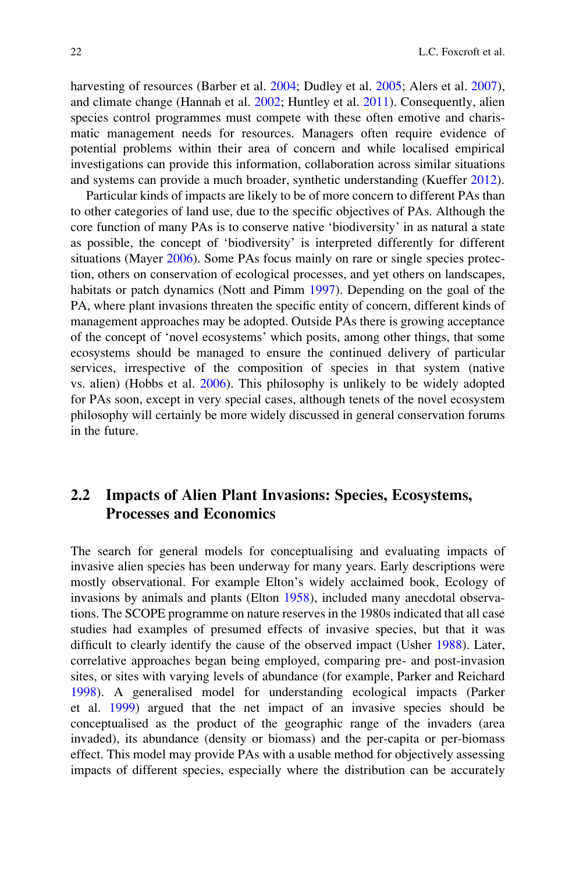harvesting of resources (Barber et al. [2004](#page-16-0); Dudley et al. [2005;](#page-17-0) Alers et al. [2007\)](#page-16-0), and climate change (Hannah et al. [2002](#page-18-0); Huntley et al. [2011](#page-18-0)). Consequently, alien species control programmes must compete with these often emotive and charismatic management needs for resources. Managers often require evidence of potential problems within their area of concern and while localised empirical investigations can provide this information, collaboration across similar situations and systems can provide a much broader, synthetic understanding (Kueffer [2012](#page-18-0)).

Particular kinds of impacts are likely to be of more concern to different PAs than to other categories of land use, due to the specific objectives of PAs. Although the core function of many PAs is to conserve native 'biodiversity' in as natural a state as possible, the concept of 'biodiversity' is interpreted differently for different situations (Mayer [2006](#page-19-0)). Some PAs focus mainly on rare or single species protection, others on conservation of ecological processes, and yet others on landscapes, habitats or patch dynamics (Nott and Pimm [1997\)](#page-20-0). Depending on the goal of the PA, where plant invasions threaten the specific entity of concern, different kinds of management approaches may be adopted. Outside PAs there is growing acceptance of the concept of 'novel ecosystems' which posits, among other things, that some ecosystems should be managed to ensure the continued delivery of particular services, irrespective of the composition of species in that system (native vs. alien) (Hobbs et al. [2006\)](#page-18-0). This philosophy is unlikely to be widely adopted for PAs soon, except in very special cases, although tenets of the novel ecosystem philosophy will certainly be more widely discussed in general conservation forums in the future.

## 2.2 Impacts of Alien Plant Invasions: Species, Ecosystems, Processes and Economics

The search for general models for conceptualising and evaluating impacts of invasive alien species has been underway for many years. Early descriptions were mostly observational. For example Elton's widely acclaimed book, Ecology of invasions by animals and plants (Elton [1958](#page-17-0)), included many anecdotal observations. The SCOPE programme on nature reserves in the 1980s indicated that all case studies had examples of presumed effects of invasive species, but that it was difficult to clearly identify the cause of the observed impact (Usher [1988\)](#page-21-0). Later, correlative approaches began being employed, comparing pre- and post-invasion sites, or sites with varying levels of abundance (for example, Parker and Reichard [1998\)](#page-20-0). A generalised model for understanding ecological impacts (Parker et al. [1999](#page-20-0)) argued that the net impact of an invasive species should be conceptualised as the product of the geographic range of the invaders (area invaded), its abundance (density or biomass) and the per-capita or per-biomass effect. This model may provide PAs with a usable method for objectively assessing impacts of different species, especially where the distribution can be accurately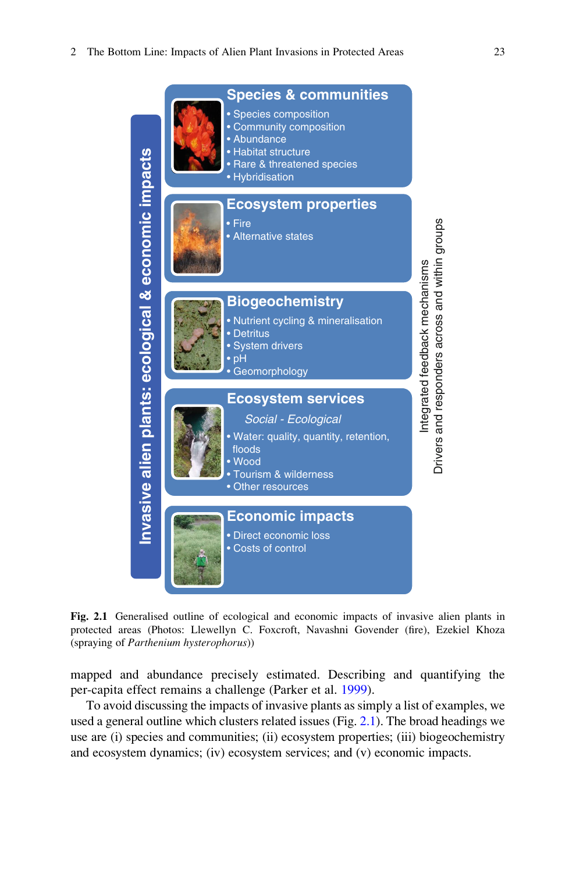

Fig. 2.1 Generalised outline of ecological and economic impacts of invasive alien plants in protected areas (Photos: Llewellyn C. Foxcroft, Navashni Govender (fire), Ezekiel Khoza (spraying of Parthenium hysterophorus))

mapped and abundance precisely estimated. Describing and quantifying the per-capita effect remains a challenge (Parker et al. [1999](#page-20-0)).

To avoid discussing the impacts of invasive plants as simply a list of examples, we used a general outline which clusters related issues (Fig. 2.1). The broad headings we use are (i) species and communities; (ii) ecosystem properties; (iii) biogeochemistry and ecosystem dynamics; (iv) ecosystem services; and (v) economic impacts.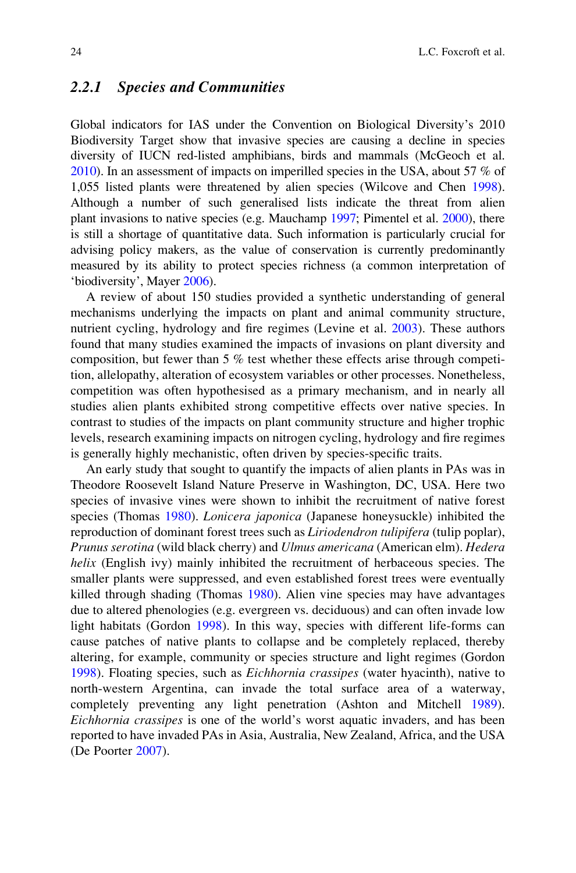## 2.2.1 Species and Communities

Global indicators for IAS under the Convention on Biological Diversity's 2010 Biodiversity Target show that invasive species are causing a decline in species diversity of IUCN red-listed amphibians, birds and mammals (McGeoch et al. [2010](#page-19-0)). In an assessment of impacts on imperilled species in the USA, about 57 % of 1,055 listed plants were threatened by alien species (Wilcove and Chen [1998\)](#page-22-0). Although a number of such generalised lists indicate the threat from alien plant invasions to native species (e.g. Mauchamp [1997;](#page-19-0) Pimentel et al. [2000](#page-20-0)), there is still a shortage of quantitative data. Such information is particularly crucial for advising policy makers, as the value of conservation is currently predominantly measured by its ability to protect species richness (a common interpretation of 'biodiversity', Mayer [2006](#page-19-0)).

A review of about 150 studies provided a synthetic understanding of general mechanisms underlying the impacts on plant and animal community structure, nutrient cycling, hydrology and fire regimes (Levine et al. [2003\)](#page-19-0). These authors found that many studies examined the impacts of invasions on plant diversity and composition, but fewer than 5 % test whether these effects arise through competition, allelopathy, alteration of ecosystem variables or other processes. Nonetheless, competition was often hypothesised as a primary mechanism, and in nearly all studies alien plants exhibited strong competitive effects over native species. In contrast to studies of the impacts on plant community structure and higher trophic levels, research examining impacts on nitrogen cycling, hydrology and fire regimes is generally highly mechanistic, often driven by species-specific traits.

An early study that sought to quantify the impacts of alien plants in PAs was in Theodore Roosevelt Island Nature Preserve in Washington, DC, USA. Here two species of invasive vines were shown to inhibit the recruitment of native forest species (Thomas [1980\)](#page-21-0). *Lonicera japonica* (Japanese honeysuckle) inhibited the reproduction of dominant forest trees such as Liriodendron tulipifera (tulip poplar), Prunus serotina (wild black cherry) and Ulmus americana (American elm). Hedera helix (English ivy) mainly inhibited the recruitment of herbaceous species. The smaller plants were suppressed, and even established forest trees were eventually killed through shading (Thomas [1980\)](#page-21-0). Alien vine species may have advantages due to altered phenologies (e.g. evergreen vs. deciduous) and can often invade low light habitats (Gordon [1998\)](#page-18-0). In this way, species with different life-forms can cause patches of native plants to collapse and be completely replaced, thereby altering, for example, community or species structure and light regimes (Gordon [1998\)](#page-18-0). Floating species, such as Eichhornia crassipes (water hyacinth), native to north-western Argentina, can invade the total surface area of a waterway, completely preventing any light penetration (Ashton and Mitchell [1989\)](#page-16-0). Eichhornia crassipes is one of the world's worst aquatic invaders, and has been reported to have invaded PAs in Asia, Australia, New Zealand, Africa, and the USA (De Poorter [2007\)](#page-17-0).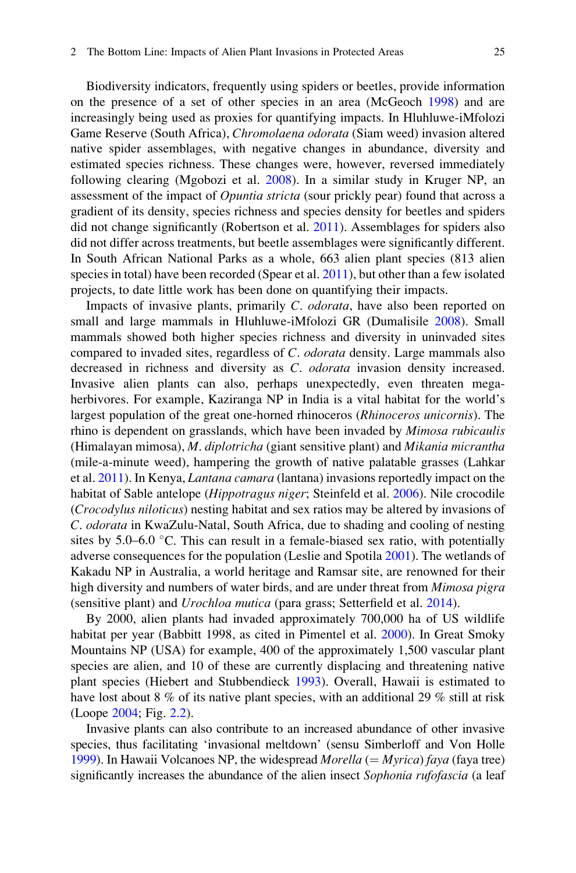Biodiversity indicators, frequently using spiders or beetles, provide information on the presence of a set of other species in an area (McGeoch [1998\)](#page-19-0) and are increasingly being used as proxies for quantifying impacts. In Hluhluwe-iMfolozi Game Reserve (South Africa), Chromolaena odorata (Siam weed) invasion altered native spider assemblages, with negative changes in abundance, diversity and estimated species richness. These changes were, however, reversed immediately following clearing (Mgobozi et al. [2008\)](#page-20-0). In a similar study in Kruger NP, an assessment of the impact of *Opuntia stricta* (sour prickly pear) found that across a gradient of its density, species richness and species density for beetles and spiders did not change significantly (Robertson et al. [2011](#page-20-0)). Assemblages for spiders also did not differ across treatments, but beetle assemblages were significantly different. In South African National Parks as a whole, 663 alien plant species (813 alien species in total) have been recorded (Spear et al. [2011](#page-21-0)), but other than a few isolated projects, to date little work has been done on quantifying their impacts.

Impacts of invasive plants, primarily C. odorata, have also been reported on small and large mammals in Hluhluwe-iMfolozi GR (Dumalisile [2008\)](#page-17-0). Small mammals showed both higher species richness and diversity in uninvaded sites compared to invaded sites, regardless of C. odorata density. Large mammals also decreased in richness and diversity as C. odorata invasion density increased. Invasive alien plants can also, perhaps unexpectedly, even threaten megaherbivores. For example, Kaziranga NP in India is a vital habitat for the world's largest population of the great one-horned rhinoceros (*Rhinoceros unicornis*). The rhino is dependent on grasslands, which have been invaded by Mimosa rubicaulis (Himalayan mimosa), M. diplotricha (giant sensitive plant) and Mikania micrantha (mile-a-minute weed), hampering the growth of native palatable grasses (Lahkar et al. [2011\)](#page-19-0). In Kenya, Lantana camara (lantana) invasions reportedly impact on the habitat of Sable antelope (Hippotragus niger; Steinfeld et al. [2006\)](#page-21-0). Nile crocodile (Crocodylus niloticus) nesting habitat and sex ratios may be altered by invasions of C. odorata in KwaZulu-Natal, South Africa, due to shading and cooling of nesting sites by  $5.0-6.0$  °C. This can result in a female-biased sex ratio, with potentially adverse consequences for the population (Leslie and Spotila [2001\)](#page-19-0). The wetlands of Kakadu NP in Australia, a world heritage and Ramsar site, are renowned for their high diversity and numbers of water birds, and are under threat from *Mimosa pigra* (sensitive plant) and Urochloa mutica (para grass; Setterfield et al. [2014\)](#page-21-0).

By 2000, alien plants had invaded approximately 700,000 ha of US wildlife habitat per year (Babbitt 1998, as cited in Pimentel et al. [2000](#page-20-0)). In Great Smoky Mountains NP (USA) for example, 400 of the approximately 1,500 vascular plant species are alien, and 10 of these are currently displacing and threatening native plant species (Hiebert and Stubbendieck [1993](#page-18-0)). Overall, Hawaii is estimated to have lost about 8 % of its native plant species, with an additional 29 % still at risk (Loope [2004;](#page-19-0) Fig. [2.2](#page-7-0)).

Invasive plants can also contribute to an increased abundance of other invasive species, thus facilitating 'invasional meltdown' (sensu Simberloff and Von Holle [1999](#page-21-0)). In Hawaii Volcanoes NP, the widespread  $Morella (=Myrica) faya$  (faya tree) significantly increases the abundance of the alien insect Sophonia rufofascia (a leaf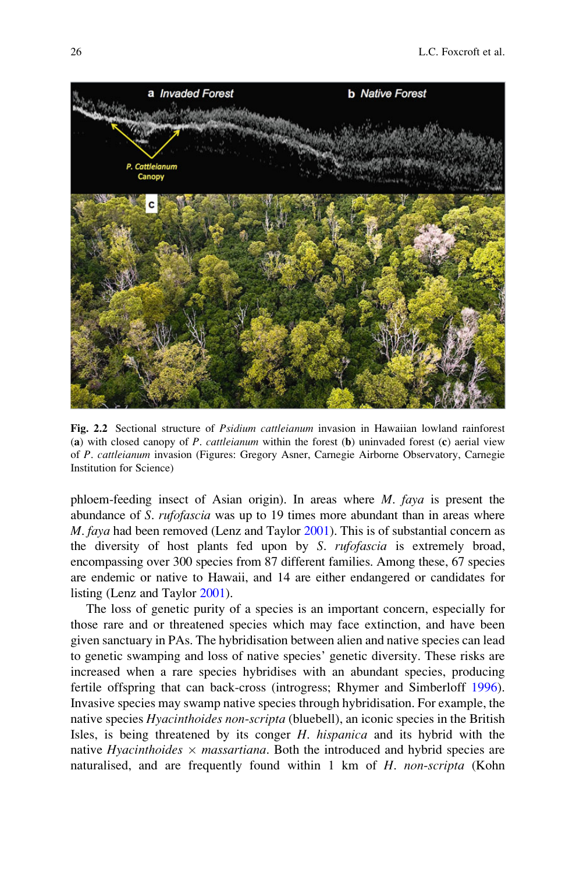<span id="page-7-0"></span>

Fig. 2.2 Sectional structure of *Psidium cattleianum* invasion in Hawaiian lowland rainforest (a) with closed canopy of P. *cattleianum* within the forest (b) uninvaded forest (c) aerial view of P. cattleianum invasion (Figures: Gregory Asner, Carnegie Airborne Observatory, Carnegie Institution for Science)

phloem-feeding insect of Asian origin). In areas where M. faya is present the abundance of S. *rufofascia* was up to 19 times more abundant than in areas where *M. faya* had been removed (Lenz and Taylor [2001\)](#page-19-0). This is of substantial concern as the diversity of host plants fed upon by S. rufofascia is extremely broad, encompassing over 300 species from 87 different families. Among these, 67 species are endemic or native to Hawaii, and 14 are either endangered or candidates for listing (Lenz and Taylor [2001](#page-19-0)).

The loss of genetic purity of a species is an important concern, especially for those rare and or threatened species which may face extinction, and have been given sanctuary in PAs. The hybridisation between alien and native species can lead to genetic swamping and loss of native species' genetic diversity. These risks are increased when a rare species hybridises with an abundant species, producing fertile offspring that can back-cross (introgress; Rhymer and Simberloff [1996\)](#page-20-0). Invasive species may swamp native species through hybridisation. For example, the native species Hyacinthoides non-scripta (bluebell), an iconic species in the British Isles, is being threatened by its conger H. hispanica and its hybrid with the native Hyacinthoides  $\times$  massartiana. Both the introduced and hybrid species are naturalised, and are frequently found within 1 km of H. non-scripta (Kohn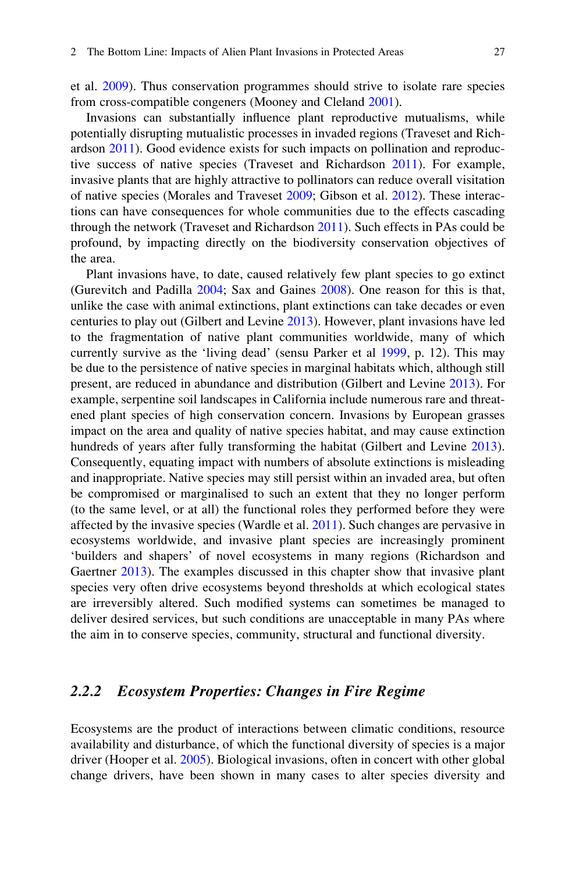et al. [2009](#page-18-0)). Thus conservation programmes should strive to isolate rare species from cross-compatible congeners (Mooney and Cleland [2001](#page-20-0)).

Invasions can substantially influence plant reproductive mutualisms, while potentially disrupting mutualistic processes in invaded regions (Traveset and Richardson [2011](#page-21-0)). Good evidence exists for such impacts on pollination and reproductive success of native species (Traveset and Richardson [2011](#page-21-0)). For example, invasive plants that are highly attractive to pollinators can reduce overall visitation of native species (Morales and Traveset [2009;](#page-20-0) Gibson et al. [2012](#page-18-0)). These interactions can have consequences for whole communities due to the effects cascading through the network (Traveset and Richardson [2011](#page-21-0)). Such effects in PAs could be profound, by impacting directly on the biodiversity conservation objectives of the area.

Plant invasions have, to date, caused relatively few plant species to go extinct (Gurevitch and Padilla [2004](#page-18-0); Sax and Gaines [2008\)](#page-21-0). One reason for this is that, unlike the case with animal extinctions, plant extinctions can take decades or even centuries to play out (Gilbert and Levine [2013](#page-18-0)). However, plant invasions have led to the fragmentation of native plant communities worldwide, many of which currently survive as the 'living dead' (sensu Parker et al [1999,](#page-20-0) p. 12). This may be due to the persistence of native species in marginal habitats which, although still present, are reduced in abundance and distribution (Gilbert and Levine [2013](#page-18-0)). For example, serpentine soil landscapes in California include numerous rare and threatened plant species of high conservation concern. Invasions by European grasses impact on the area and quality of native species habitat, and may cause extinction hundreds of years after fully transforming the habitat (Gilbert and Levine [2013\)](#page-18-0). Consequently, equating impact with numbers of absolute extinctions is misleading and inappropriate. Native species may still persist within an invaded area, but often be compromised or marginalised to such an extent that they no longer perform (to the same level, or at all) the functional roles they performed before they were affected by the invasive species (Wardle et al. [2011](#page-22-0)). Such changes are pervasive in ecosystems worldwide, and invasive plant species are increasingly prominent 'builders and shapers' of novel ecosystems in many regions (Richardson and Gaertner [2013](#page-20-0)). The examples discussed in this chapter show that invasive plant species very often drive ecosystems beyond thresholds at which ecological states are irreversibly altered. Such modified systems can sometimes be managed to deliver desired services, but such conditions are unacceptable in many PAs where the aim in to conserve species, community, structural and functional diversity.

## 2.2.2 Ecosystem Properties: Changes in Fire Regime

Ecosystems are the product of interactions between climatic conditions, resource availability and disturbance, of which the functional diversity of species is a major driver (Hooper et al. [2005](#page-18-0)). Biological invasions, often in concert with other global change drivers, have been shown in many cases to alter species diversity and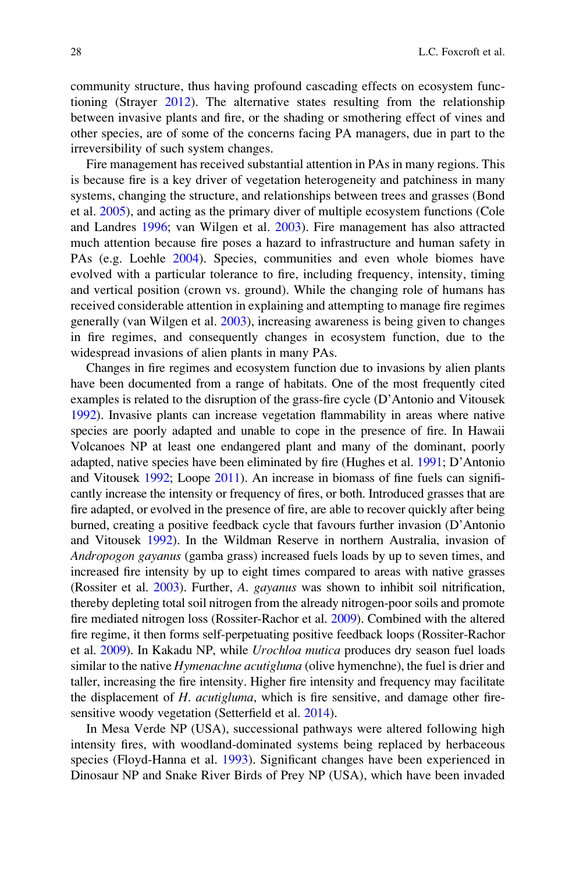community structure, thus having profound cascading effects on ecosystem functioning (Strayer [2012\)](#page-21-0). The alternative states resulting from the relationship between invasive plants and fire, or the shading or smothering effect of vines and other species, are of some of the concerns facing PA managers, due in part to the irreversibility of such system changes.

Fire management has received substantial attention in PAs in many regions. This is because fire is a key driver of vegetation heterogeneity and patchiness in many systems, changing the structure, and relationships between trees and grasses (Bond et al. [2005](#page-16-0)), and acting as the primary diver of multiple ecosystem functions (Cole and Landres [1996;](#page-17-0) van Wilgen et al. [2003\)](#page-21-0). Fire management has also attracted much attention because fire poses a hazard to infrastructure and human safety in PAs (e.g. Loehle [2004\)](#page-19-0). Species, communities and even whole biomes have evolved with a particular tolerance to fire, including frequency, intensity, timing and vertical position (crown vs. ground). While the changing role of humans has received considerable attention in explaining and attempting to manage fire regimes generally (van Wilgen et al. [2003](#page-21-0)), increasing awareness is being given to changes in fire regimes, and consequently changes in ecosystem function, due to the widespread invasions of alien plants in many PAs.

Changes in fire regimes and ecosystem function due to invasions by alien plants have been documented from a range of habitats. One of the most frequently cited examples is related to the disruption of the grass-fire cycle (D'Antonio and Vitousek [1992](#page-17-0)). Invasive plants can increase vegetation flammability in areas where native species are poorly adapted and unable to cope in the presence of fire. In Hawaii Volcanoes NP at least one endangered plant and many of the dominant, poorly adapted, native species have been eliminated by fire (Hughes et al. [1991;](#page-18-0) D'Antonio and Vitousek [1992](#page-17-0); Loope [2011](#page-19-0)). An increase in biomass of fine fuels can significantly increase the intensity or frequency of fires, or both. Introduced grasses that are fire adapted, or evolved in the presence of fire, are able to recover quickly after being burned, creating a positive feedback cycle that favours further invasion (D'Antonio and Vitousek [1992\)](#page-17-0). In the Wildman Reserve in northern Australia, invasion of Andropogon gayanus (gamba grass) increased fuels loads by up to seven times, and increased fire intensity by up to eight times compared to areas with native grasses (Rossiter et al. [2003\)](#page-21-0). Further, A. gayanus was shown to inhibit soil nitrification, thereby depleting total soil nitrogen from the already nitrogen-poor soils and promote fire mediated nitrogen loss (Rossiter-Rachor et al. [2009](#page-21-0)). Combined with the altered fire regime, it then forms self-perpetuating positive feedback loops (Rossiter-Rachor et al. [2009](#page-21-0)). In Kakadu NP, while Urochloa mutica produces dry season fuel loads similar to the native *Hymenachne acutigluma* (olive hymenchne), the fuel is drier and taller, increasing the fire intensity. Higher fire intensity and frequency may facilitate the displacement of  $H$ . *acutigluma*, which is fire sensitive, and damage other firesensitive woody vegetation (Setterfield et al. [2014\)](#page-21-0).

In Mesa Verde NP (USA), successional pathways were altered following high intensity fires, with woodland-dominated systems being replaced by herbaceous species (Floyd-Hanna et al. [1993](#page-17-0)). Significant changes have been experienced in Dinosaur NP and Snake River Birds of Prey NP (USA), which have been invaded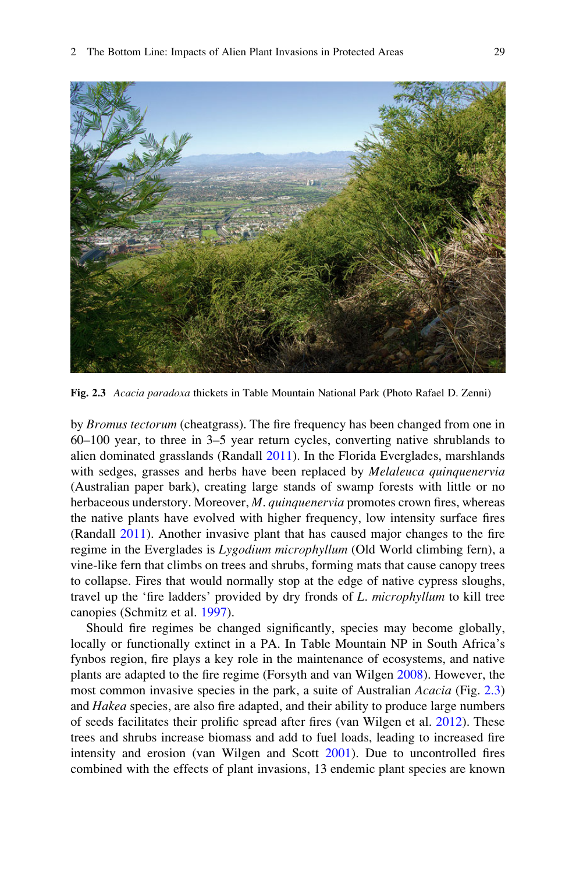

Fig. 2.3 Acacia paradoxa thickets in Table Mountain National Park (Photo Rafael D. Zenni)

by Bromus tectorum (cheatgrass). The fire frequency has been changed from one in 60–100 year, to three in 3–5 year return cycles, converting native shrublands to alien dominated grasslands (Randall [2011](#page-20-0)). In the Florida Everglades, marshlands with sedges, grasses and herbs have been replaced by *Melaleuca quinquenervia* (Australian paper bark), creating large stands of swamp forests with little or no herbaceous understory. Moreover, M. quinquenervia promotes crown fires, whereas the native plants have evolved with higher frequency, low intensity surface fires (Randall [2011\)](#page-20-0). Another invasive plant that has caused major changes to the fire regime in the Everglades is Lygodium microphyllum (Old World climbing fern), a vine-like fern that climbs on trees and shrubs, forming mats that cause canopy trees to collapse. Fires that would normally stop at the edge of native cypress sloughs, travel up the 'fire ladders' provided by dry fronds of L. microphyllum to kill tree canopies (Schmitz et al. [1997](#page-21-0)).

Should fire regimes be changed significantly, species may become globally, locally or functionally extinct in a PA. In Table Mountain NP in South Africa's fynbos region, fire plays a key role in the maintenance of ecosystems, and native plants are adapted to the fire regime (Forsyth and van Wilgen [2008](#page-17-0)). However, the most common invasive species in the park, a suite of Australian Acacia (Fig. 2.3) and Hakea species, are also fire adapted, and their ability to produce large numbers of seeds facilitates their prolific spread after fires (van Wilgen et al. [2012\)](#page-22-0). These trees and shrubs increase biomass and add to fuel loads, leading to increased fire intensity and erosion (van Wilgen and Scott [2001](#page-21-0)). Due to uncontrolled fires combined with the effects of plant invasions, 13 endemic plant species are known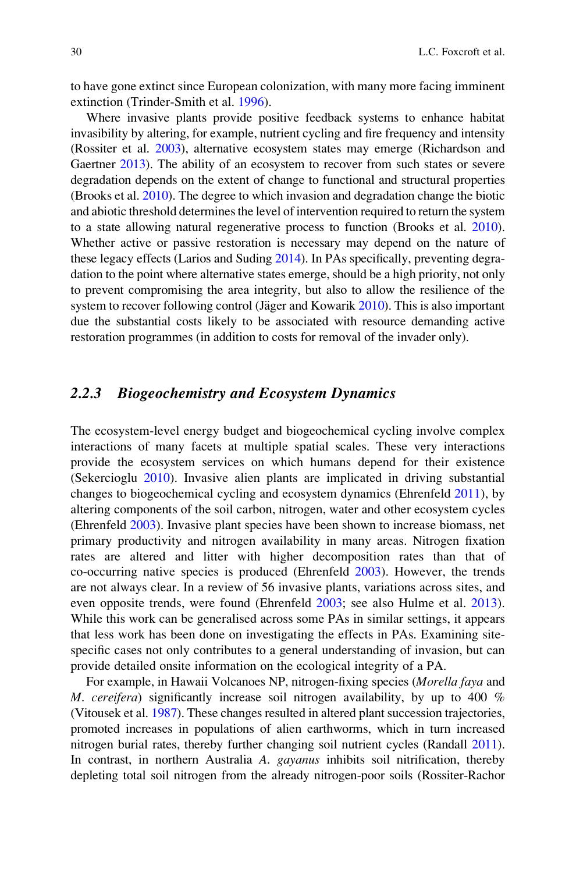to have gone extinct since European colonization, with many more facing imminent extinction (Trinder-Smith et al. [1996\)](#page-21-0).

Where invasive plants provide positive feedback systems to enhance habitat invasibility by altering, for example, nutrient cycling and fire frequency and intensity (Rossiter et al. [2003](#page-21-0)), alternative ecosystem states may emerge (Richardson and Gaertner [2013](#page-20-0)). The ability of an ecosystem to recover from such states or severe degradation depends on the extent of change to functional and structural properties (Brooks et al. [2010](#page-17-0)). The degree to which invasion and degradation change the biotic and abiotic threshold determines the level of intervention required to return the system to a state allowing natural regenerative process to function (Brooks et al. [2010\)](#page-17-0). Whether active or passive restoration is necessary may depend on the nature of these legacy effects (Larios and Suding [2014\)](#page-19-0). In PAs specifically, preventing degradation to the point where alternative states emerge, should be a high priority, not only to prevent compromising the area integrity, but also to allow the resilience of the system to recover following control (Jäger and Kowarik [2010](#page-18-0)). This is also important due the substantial costs likely to be associated with resource demanding active restoration programmes (in addition to costs for removal of the invader only).

## 2.2.3 Biogeochemistry and Ecosystem Dynamics

The ecosystem-level energy budget and biogeochemical cycling involve complex interactions of many facets at multiple spatial scales. These very interactions provide the ecosystem services on which humans depend for their existence (Sekercioglu [2010\)](#page-21-0). Invasive alien plants are implicated in driving substantial changes to biogeochemical cycling and ecosystem dynamics (Ehrenfeld [2011\)](#page-17-0), by altering components of the soil carbon, nitrogen, water and other ecosystem cycles (Ehrenfeld [2003](#page-17-0)). Invasive plant species have been shown to increase biomass, net primary productivity and nitrogen availability in many areas. Nitrogen fixation rates are altered and litter with higher decomposition rates than that of co-occurring native species is produced (Ehrenfeld [2003\)](#page-17-0). However, the trends are not always clear. In a review of 56 invasive plants, variations across sites, and even opposite trends, were found (Ehrenfeld [2003](#page-17-0); see also Hulme et al. [2013\)](#page-18-0). While this work can be generalised across some PAs in similar settings, it appears that less work has been done on investigating the effects in PAs. Examining sitespecific cases not only contributes to a general understanding of invasion, but can provide detailed onsite information on the ecological integrity of a PA.

For example, in Hawaii Volcanoes NP, nitrogen-fixing species (Morella faya and M. cereifera) significantly increase soil nitrogen availability, by up to 400 % (Vitousek et al. [1987](#page-22-0)). These changes resulted in altered plant succession trajectories, promoted increases in populations of alien earthworms, which in turn increased nitrogen burial rates, thereby further changing soil nutrient cycles (Randall [2011\)](#page-20-0). In contrast, in northern Australia A. gayanus inhibits soil nitrification, thereby depleting total soil nitrogen from the already nitrogen-poor soils (Rossiter-Rachor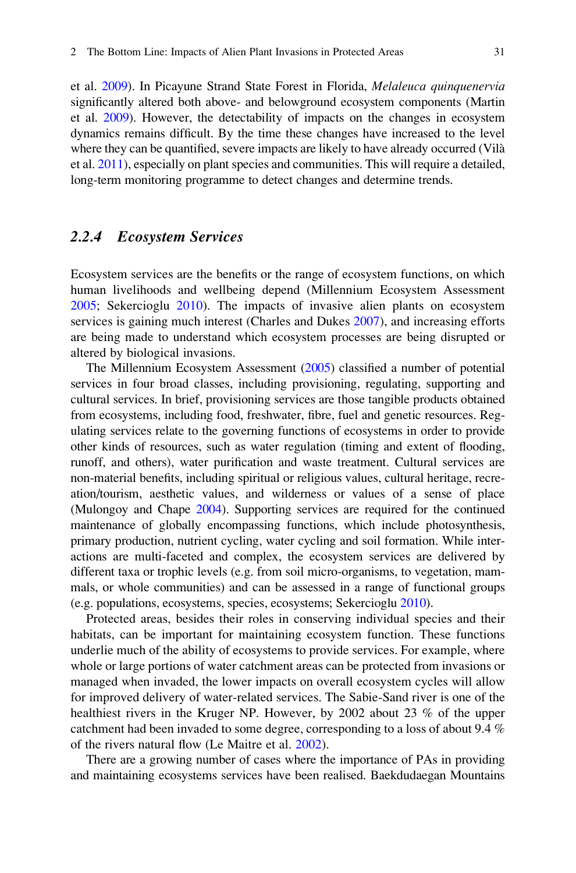et al. [2009](#page-21-0)). In Picayune Strand State Forest in Florida, Melaleuca quinquenervia significantly altered both above- and belowground ecosystem components (Martin et al. [2009](#page-19-0)). However, the detectability of impacts on the changes in ecosystem dynamics remains difficult. By the time these changes have increased to the level where they can be quantified, severe impacts are likely to have already occurred (Vila` et al. [2011](#page-22-0)), especially on plant species and communities. This will require a detailed, long-term monitoring programme to detect changes and determine trends.

#### 2.2.4 Ecosystem Services

Ecosystem services are the benefits or the range of ecosystem functions, on which human livelihoods and wellbeing depend (Millennium Ecosystem Assessment [2005;](#page-19-0) Sekercioglu [2010\)](#page-21-0). The impacts of invasive alien plants on ecosystem services is gaining much interest (Charles and Dukes [2007\)](#page-17-0), and increasing efforts are being made to understand which ecosystem processes are being disrupted or altered by biological invasions.

The Millennium Ecosystem Assessment ([2005](#page-19-0)) classified a number of potential services in four broad classes, including provisioning, regulating, supporting and cultural services. In brief, provisioning services are those tangible products obtained from ecosystems, including food, freshwater, fibre, fuel and genetic resources. Regulating services relate to the governing functions of ecosystems in order to provide other kinds of resources, such as water regulation (timing and extent of flooding, runoff, and others), water purification and waste treatment. Cultural services are non-material benefits, including spiritual or religious values, cultural heritage, recreation/tourism, aesthetic values, and wilderness or values of a sense of place (Mulongoy and Chape [2004](#page-20-0)). Supporting services are required for the continued maintenance of globally encompassing functions, which include photosynthesis, primary production, nutrient cycling, water cycling and soil formation. While interactions are multi-faceted and complex, the ecosystem services are delivered by different taxa or trophic levels (e.g. from soil micro-organisms, to vegetation, mammals, or whole communities) and can be assessed in a range of functional groups (e.g. populations, ecosystems, species, ecosystems; Sekercioglu [2010](#page-21-0)).

Protected areas, besides their roles in conserving individual species and their habitats, can be important for maintaining ecosystem function. These functions underlie much of the ability of ecosystems to provide services. For example, where whole or large portions of water catchment areas can be protected from invasions or managed when invaded, the lower impacts on overall ecosystem cycles will allow for improved delivery of water-related services. The Sabie-Sand river is one of the healthiest rivers in the Kruger NP. However, by 2002 about 23 % of the upper catchment had been invaded to some degree, corresponding to a loss of about 9.4 % of the rivers natural flow (Le Maitre et al. [2002\)](#page-19-0).

There are a growing number of cases where the importance of PAs in providing and maintaining ecosystems services have been realised. Baekdudaegan Mountains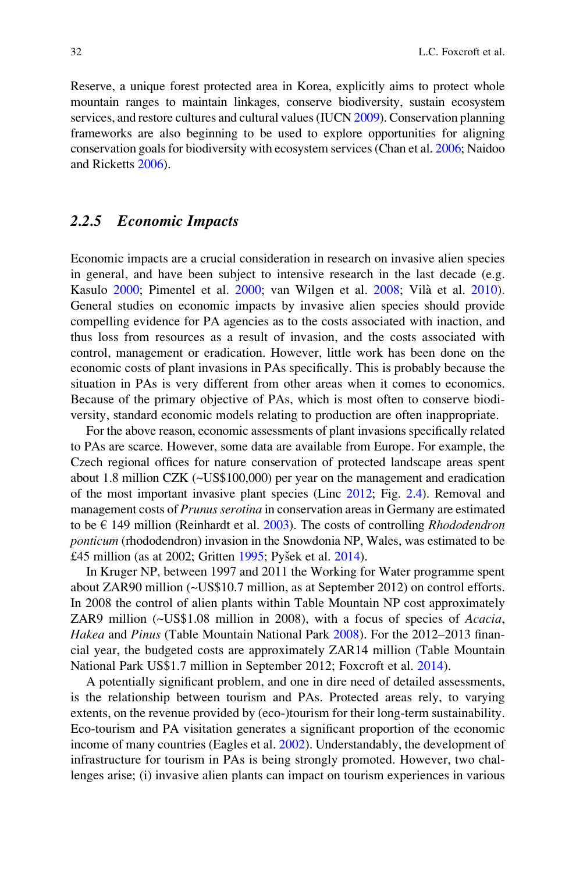Reserve, a unique forest protected area in Korea, explicitly aims to protect whole mountain ranges to maintain linkages, conserve biodiversity, sustain ecosystem services, and restore cultures and cultural values (IUCN [2009\)](#page-18-0). Conservation planning frameworks are also beginning to be used to explore opportunities for aligning conservation goals for biodiversity with ecosystem services (Chan et al. [2006;](#page-17-0) Naidoo and Ricketts [2006\)](#page-20-0).

#### 2.2.5 Economic Impacts

Economic impacts are a crucial consideration in research on invasive alien species in general, and have been subject to intensive research in the last decade (e.g. Kasulo [2000](#page-18-0); Pimentel et al. [2000](#page-20-0); van Wilgen et al. [2008](#page-22-0); Vila` et al. [2010\)](#page-22-0). General studies on economic impacts by invasive alien species should provide compelling evidence for PA agencies as to the costs associated with inaction, and thus loss from resources as a result of invasion, and the costs associated with control, management or eradication. However, little work has been done on the economic costs of plant invasions in PAs specifically. This is probably because the situation in PAs is very different from other areas when it comes to economics. Because of the primary objective of PAs, which is most often to conserve biodiversity, standard economic models relating to production are often inappropriate.

For the above reason, economic assessments of plant invasions specifically related to PAs are scarce. However, some data are available from Europe. For example, the Czech regional offices for nature conservation of protected landscape areas spent about 1.8 million CZK (~US\$100,000) per year on the management and eradication of the most important invasive plant species (Linc [2012;](#page-19-0) Fig. [2.4](#page-14-0)). Removal and management costs of Prunus serotina in conservation areas in Germany are estimated to be  $\epsilon$  149 million (Reinhardt et al. [2003\)](#page-20-0). The costs of controlling *Rhododendron* ponticum (rhododendron) invasion in the Snowdonia NP, Wales, was estimated to be £45 million (as at 2002; Gritten [1995;](#page-18-0) Pyšek et al. [2014\)](#page-20-0).

In Kruger NP, between 1997 and 2011 the Working for Water programme spent about ZAR90 million (~US\$10.7 million, as at September 2012) on control efforts. In 2008 the control of alien plants within Table Mountain NP cost approximately ZAR9 million (~US\$1.08 million in 2008), with a focus of species of Acacia, Hakea and Pinus (Table Mountain National Park [2008](#page-21-0)). For the 2012–2013 financial year, the budgeted costs are approximately ZAR14 million (Table Mountain National Park US\$1.7 million in September 2012; Foxcroft et al. [2014\)](#page-17-0).

A potentially significant problem, and one in dire need of detailed assessments, is the relationship between tourism and PAs. Protected areas rely, to varying extents, on the revenue provided by (eco-)tourism for their long-term sustainability. Eco-tourism and PA visitation generates a significant proportion of the economic income of many countries (Eagles et al. [2002\)](#page-17-0). Understandably, the development of infrastructure for tourism in PAs is being strongly promoted. However, two challenges arise; (i) invasive alien plants can impact on tourism experiences in various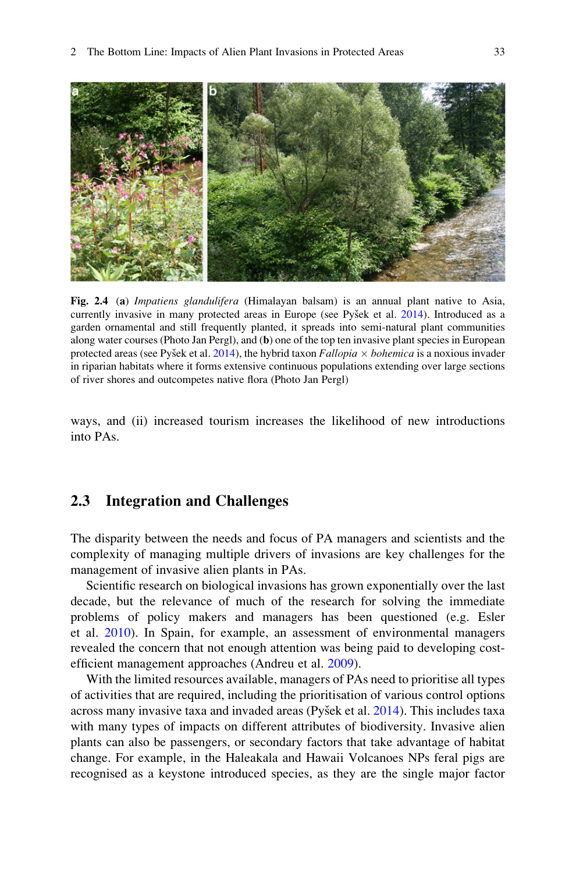<span id="page-14-0"></span>

Fig. 2.4 (a) Impatiens glandulifera (Himalayan balsam) is an annual plant native to Asia, currently invasive in many protected areas in Europe (see Pyšek et al. [2014](#page-20-0)). Introduced as a garden ornamental and still frequently planted, it spreads into semi-natural plant communities along water courses (Photo Jan Pergl), and (b) one of the top ten invasive plant species in European protected areas (see Pyšek et al. [2014\)](#page-20-0), the hybrid taxon *Fallopia*  $\times$  *bohemica* is a noxious invader in riparian habitats where it forms extensive continuous populations extending over large sections of river shores and outcompetes native flora (Photo Jan Pergl)

ways, and (ii) increased tourism increases the likelihood of new introductions into PAs.

## 2.3 Integration and Challenges

The disparity between the needs and focus of PA managers and scientists and the complexity of managing multiple drivers of invasions are key challenges for the management of invasive alien plants in PAs.

Scientific research on biological invasions has grown exponentially over the last decade, but the relevance of much of the research for solving the immediate problems of policy makers and managers has been questioned (e.g. Esler et al. [2010\)](#page-17-0). In Spain, for example, an assessment of environmental managers revealed the concern that not enough attention was being paid to developing costefficient management approaches (Andreu et al. [2009](#page-16-0)).

With the limited resources available, managers of PAs need to prioritise all types of activities that are required, including the prioritisation of various control options across many invasive taxa and invaded areas (Pyšek et al. [2014\)](#page-20-0). This includes taxa with many types of impacts on different attributes of biodiversity. Invasive alien plants can also be passengers, or secondary factors that take advantage of habitat change. For example, in the Haleakala and Hawaii Volcanoes NPs feral pigs are recognised as a keystone introduced species, as they are the single major factor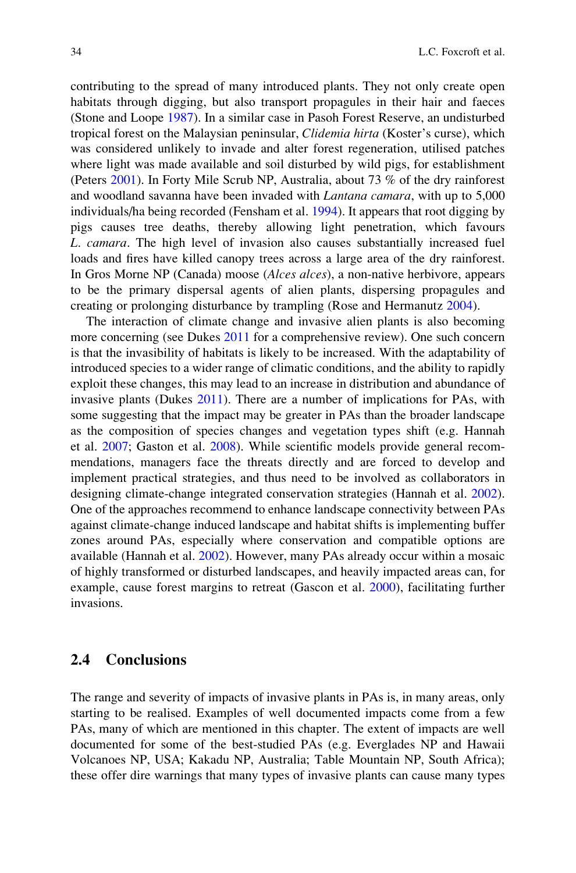contributing to the spread of many introduced plants. They not only create open habitats through digging, but also transport propagules in their hair and faeces (Stone and Loope [1987\)](#page-21-0). In a similar case in Pasoh Forest Reserve, an undisturbed tropical forest on the Malaysian peninsular, Clidemia hirta (Koster's curse), which was considered unlikely to invade and alter forest regeneration, utilised patches where light was made available and soil disturbed by wild pigs, for establishment (Peters [2001](#page-20-0)). In Forty Mile Scrub NP, Australia, about 73 % of the dry rainforest and woodland savanna have been invaded with Lantana camara, with up to 5,000 individuals/ha being recorded (Fensham et al. [1994\)](#page-17-0). It appears that root digging by pigs causes tree deaths, thereby allowing light penetration, which favours L. camara. The high level of invasion also causes substantially increased fuel loads and fires have killed canopy trees across a large area of the dry rainforest. In Gros Morne NP (Canada) moose (Alces alces), a non-native herbivore, appears to be the primary dispersal agents of alien plants, dispersing propagules and creating or prolonging disturbance by trampling (Rose and Hermanutz [2004\)](#page-20-0).

The interaction of climate change and invasive alien plants is also becoming more concerning (see Dukes [2011](#page-17-0) for a comprehensive review). One such concern is that the invasibility of habitats is likely to be increased. With the adaptability of introduced species to a wider range of climatic conditions, and the ability to rapidly exploit these changes, this may lead to an increase in distribution and abundance of invasive plants (Dukes [2011\)](#page-17-0). There are a number of implications for PAs, with some suggesting that the impact may be greater in PAs than the broader landscape as the composition of species changes and vegetation types shift (e.g. Hannah et al. [2007;](#page-18-0) Gaston et al. [2008](#page-17-0)). While scientific models provide general recommendations, managers face the threats directly and are forced to develop and implement practical strategies, and thus need to be involved as collaborators in designing climate-change integrated conservation strategies (Hannah et al. [2002\)](#page-18-0). One of the approaches recommend to enhance landscape connectivity between PAs against climate-change induced landscape and habitat shifts is implementing buffer zones around PAs, especially where conservation and compatible options are available (Hannah et al. [2002\)](#page-18-0). However, many PAs already occur within a mosaic of highly transformed or disturbed landscapes, and heavily impacted areas can, for example, cause forest margins to retreat (Gascon et al. [2000](#page-17-0)), facilitating further invasions.

## 2.4 Conclusions

The range and severity of impacts of invasive plants in PAs is, in many areas, only starting to be realised. Examples of well documented impacts come from a few PAs, many of which are mentioned in this chapter. The extent of impacts are well documented for some of the best-studied PAs (e.g. Everglades NP and Hawaii Volcanoes NP, USA; Kakadu NP, Australia; Table Mountain NP, South Africa); these offer dire warnings that many types of invasive plants can cause many types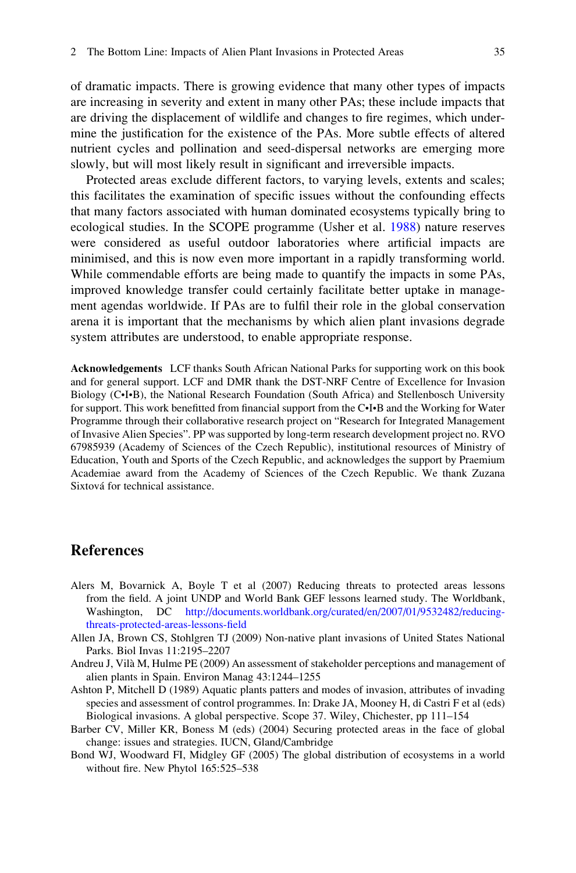<span id="page-16-0"></span>of dramatic impacts. There is growing evidence that many other types of impacts are increasing in severity and extent in many other PAs; these include impacts that are driving the displacement of wildlife and changes to fire regimes, which undermine the justification for the existence of the PAs. More subtle effects of altered nutrient cycles and pollination and seed-dispersal networks are emerging more slowly, but will most likely result in significant and irreversible impacts.

Protected areas exclude different factors, to varying levels, extents and scales; this facilitates the examination of specific issues without the confounding effects that many factors associated with human dominated ecosystems typically bring to ecological studies. In the SCOPE programme (Usher et al. [1988\)](#page-21-0) nature reserves were considered as useful outdoor laboratories where artificial impacts are minimised, and this is now even more important in a rapidly transforming world. While commendable efforts are being made to quantify the impacts in some PAs, improved knowledge transfer could certainly facilitate better uptake in management agendas worldwide. If PAs are to fulfil their role in the global conservation arena it is important that the mechanisms by which alien plant invasions degrade system attributes are understood, to enable appropriate response.

Acknowledgements LCF thanks South African National Parks for supporting work on this book and for general support. LCF and DMR thank the DST-NRF Centre of Excellence for Invasion Biology (C•I•B), the National Research Foundation (South Africa) and Stellenbosch University for support. This work benefitted from financial support from the C•I•B and the Working for Water Programme through their collaborative research project on "Research for Integrated Management of Invasive Alien Species". PP was supported by long-term research development project no. RVO 67985939 (Academy of Sciences of the Czech Republic), institutional resources of Ministry of Education, Youth and Sports of the Czech Republic, and acknowledges the support by Praemium Academiae award from the Academy of Sciences of the Czech Republic. We thank Zuzana Sixtová for technical assistance.

## References

- Alers M, Bovarnick A, Boyle T et al (2007) Reducing threats to protected areas lessons from the field. A joint UNDP and World Bank GEF lessons learned study. The Worldbank, Washington, DC [http://documents.worldbank.org/curated/en/2007/01/9532482/reducing](http://documents.worldbank.org/curated/en/2007/01/9532482/reducing-threats-protected-areas-lessons-field)[threats-protected-areas-lessons-field](http://documents.worldbank.org/curated/en/2007/01/9532482/reducing-threats-protected-areas-lessons-field)
- Allen JA, Brown CS, Stohlgren TJ (2009) Non-native plant invasions of United States National Parks. Biol Invas 11:2195–2207
- Andreu J, Vila` M, Hulme PE (2009) An assessment of stakeholder perceptions and management of alien plants in Spain. Environ Manag 43:1244–1255
- Ashton P, Mitchell D (1989) Aquatic plants patters and modes of invasion, attributes of invading species and assessment of control programmes. In: Drake JA, Mooney H, di Castri F et al (eds) Biological invasions. A global perspective. Scope 37. Wiley, Chichester, pp 111–154
- Barber CV, Miller KR, Boness M (eds) (2004) Securing protected areas in the face of global change: issues and strategies. IUCN, Gland/Cambridge
- Bond WJ, Woodward FI, Midgley GF (2005) The global distribution of ecosystems in a world without fire. New Phytol 165:525–538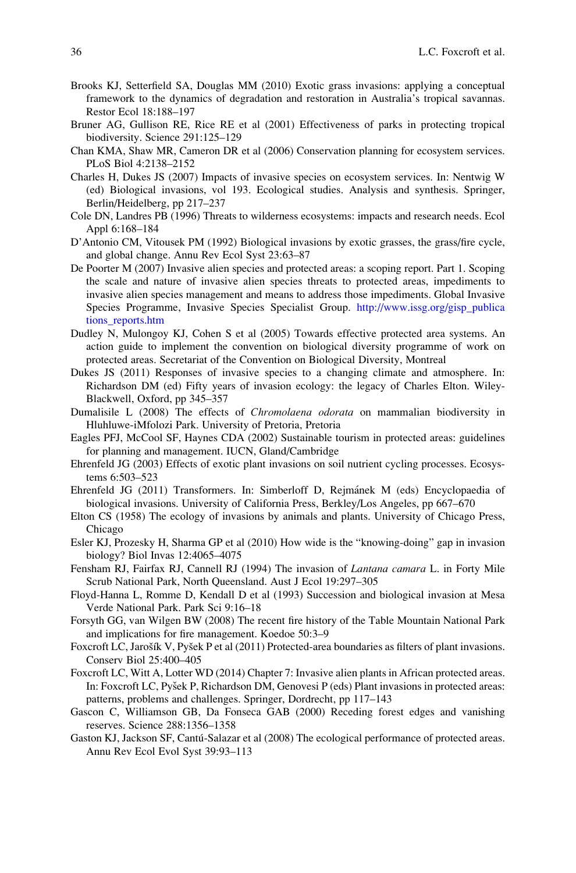- <span id="page-17-0"></span>Brooks KJ, Setterfield SA, Douglas MM (2010) Exotic grass invasions: applying a conceptual framework to the dynamics of degradation and restoration in Australia's tropical savannas. Restor Ecol 18:188–197
- Bruner AG, Gullison RE, Rice RE et al (2001) Effectiveness of parks in protecting tropical biodiversity. Science 291:125–129
- Chan KMA, Shaw MR, Cameron DR et al (2006) Conservation planning for ecosystem services. PLoS Biol 4:2138–2152
- Charles H, Dukes JS (2007) Impacts of invasive species on ecosystem services. In: Nentwig W (ed) Biological invasions, vol 193. Ecological studies. Analysis and synthesis. Springer, Berlin/Heidelberg, pp 217–237
- Cole DN, Landres PB (1996) Threats to wilderness ecosystems: impacts and research needs. Ecol Appl 6:168–184
- D'Antonio CM, Vitousek PM (1992) Biological invasions by exotic grasses, the grass/fire cycle, and global change. Annu Rev Ecol Syst 23:63–87
- De Poorter M (2007) Invasive alien species and protected areas: a scoping report. Part 1. Scoping the scale and nature of invasive alien species threats to protected areas, impediments to invasive alien species management and means to address those impediments. Global Invasive Species Programme, Invasive Species Specialist Group. [http://www.issg.org/gisp\\_publica](http://www.issg.org/gisp_publications_reports.htm) [tions\\_reports.htm](http://www.issg.org/gisp_publications_reports.htm)
- Dudley N, Mulongoy KJ, Cohen S et al (2005) Towards effective protected area systems. An action guide to implement the convention on biological diversity programme of work on protected areas. Secretariat of the Convention on Biological Diversity, Montreal
- Dukes JS (2011) Responses of invasive species to a changing climate and atmosphere. In: Richardson DM (ed) Fifty years of invasion ecology: the legacy of Charles Elton. Wiley-Blackwell, Oxford, pp 345–357
- Dumalisile L (2008) The effects of Chromolaena odorata on mammalian biodiversity in Hluhluwe-iMfolozi Park. University of Pretoria, Pretoria
- Eagles PFJ, McCool SF, Haynes CDA (2002) Sustainable tourism in protected areas: guidelines for planning and management. IUCN, Gland/Cambridge
- Ehrenfeld JG (2003) Effects of exotic plant invasions on soil nutrient cycling processes. Ecosystems 6:503–523
- Ehrenfeld JG (2011) Transformers. In: Simberloff D, Rejmánek M (eds) Encyclopaedia of biological invasions. University of California Press, Berkley/Los Angeles, pp 667–670
- Elton CS (1958) The ecology of invasions by animals and plants. University of Chicago Press, Chicago
- Esler KJ, Prozesky H, Sharma GP et al (2010) How wide is the "knowing-doing" gap in invasion biology? Biol Invas 12:4065–4075
- Fensham RJ, Fairfax RJ, Cannell RJ (1994) The invasion of Lantana camara L. in Forty Mile Scrub National Park, North Queensland. Aust J Ecol 19:297–305
- Floyd-Hanna L, Romme D, Kendall D et al (1993) Succession and biological invasion at Mesa Verde National Park. Park Sci 9:16–18
- Forsyth GG, van Wilgen BW (2008) The recent fire history of the Table Mountain National Park and implications for fire management. Koedoe 50:3–9
- Foxcroft LC, Jarošík V, Pyšek P et al (2011) Protected-area boundaries as filters of plant invasions. Conserv Biol 25:400–405
- Foxcroft LC, Witt A, Lotter WD (2014) Chapter 7: Invasive alien plants in African protected areas. In: Foxcroft LC, Pyšek P, Richardson DM, Genovesi P (eds) Plant invasions in protected areas: patterns, problems and challenges. Springer, Dordrecht, pp 117–143
- Gascon C, Williamson GB, Da Fonseca GAB (2000) Receding forest edges and vanishing reserves. Science 288:1356–1358
- Gaston KJ, Jackson SF, Cantú-Salazar et al (2008) The ecological performance of protected areas. Annu Rev Ecol Evol Syst 39:93–113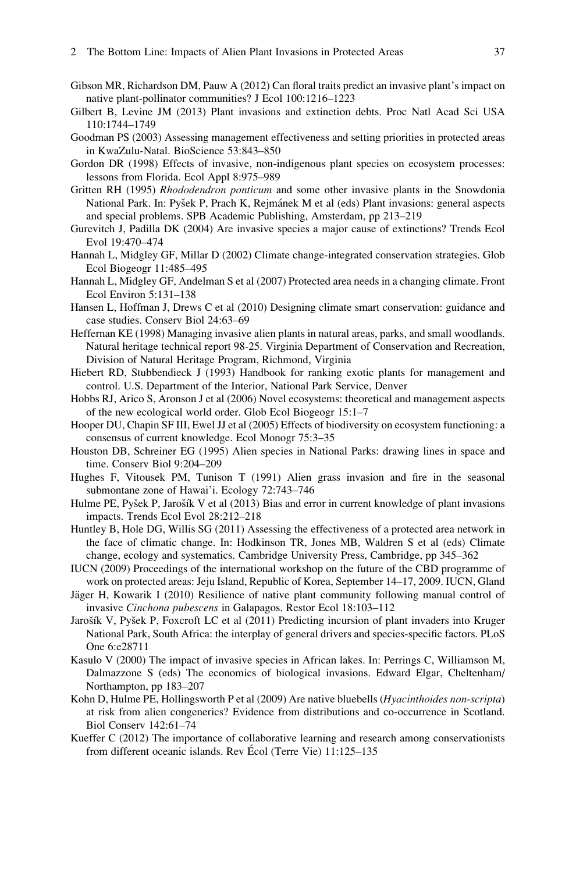- <span id="page-18-0"></span>Gibson MR, Richardson DM, Pauw A (2012) Can floral traits predict an invasive plant's impact on native plant-pollinator communities? J Ecol 100:1216–1223
- Gilbert B, Levine JM (2013) Plant invasions and extinction debts. Proc Natl Acad Sci USA 110:1744–1749
- Goodman PS (2003) Assessing management effectiveness and setting priorities in protected areas in KwaZulu-Natal. BioScience 53:843–850
- Gordon DR (1998) Effects of invasive, non-indigenous plant species on ecosystem processes: lessons from Florida. Ecol Appl 8:975–989
- Gritten RH (1995) Rhododendron ponticum and some other invasive plants in the Snowdonia National Park. In: Pyšek P, Prach K, Rejmánek M et al (eds) Plant invasions: general aspects and special problems. SPB Academic Publishing, Amsterdam, pp 213–219
- Gurevitch J, Padilla DK (2004) Are invasive species a major cause of extinctions? Trends Ecol Evol 19:470–474
- Hannah L, Midgley GF, Millar D (2002) Climate change-integrated conservation strategies. Glob Ecol Biogeogr 11:485–495
- Hannah L, Midgley GF, Andelman S et al (2007) Protected area needs in a changing climate. Front Ecol Environ 5:131–138
- Hansen L, Hoffman J, Drews C et al (2010) Designing climate smart conservation: guidance and case studies. Conserv Biol 24:63–69
- Heffernan KE (1998) Managing invasive alien plants in natural areas, parks, and small woodlands. Natural heritage technical report 98-25. Virginia Department of Conservation and Recreation, Division of Natural Heritage Program, Richmond, Virginia
- Hiebert RD, Stubbendieck J (1993) Handbook for ranking exotic plants for management and control. U.S. Department of the Interior, National Park Service, Denver
- Hobbs RJ, Arico S, Aronson J et al (2006) Novel ecosystems: theoretical and management aspects of the new ecological world order. Glob Ecol Biogeogr 15:1–7
- Hooper DU, Chapin SF III, Ewel JJ et al (2005) Effects of biodiversity on ecosystem functioning: a consensus of current knowledge. Ecol Monogr 75:3–35
- Houston DB, Schreiner EG (1995) Alien species in National Parks: drawing lines in space and time. Conserv Biol 9:204–209
- Hughes F, Vitousek PM, Tunison T (1991) Alien grass invasion and fire in the seasonal submontane zone of Hawai'i. Ecology 72:743–746
- Hulme PE, Pyšek P, Jarošík V et al (2013) Bias and error in current knowledge of plant invasions impacts. Trends Ecol Evol 28:212–218
- Huntley B, Hole DG, Willis SG (2011) Assessing the effectiveness of a protected area network in the face of climatic change. In: Hodkinson TR, Jones MB, Waldren S et al (eds) Climate change, ecology and systematics. Cambridge University Press, Cambridge, pp 345–362
- IUCN (2009) Proceedings of the international workshop on the future of the CBD programme of work on protected areas: Jeju Island, Republic of Korea, September 14–17, 2009. IUCN, Gland
- Jäger H, Kowarik I (2010) Resilience of native plant community following manual control of invasive Cinchona pubescens in Galapagos. Restor Ecol 18:103–112
- Jarošík V, Pyšek P, Foxcroft LC et al (2011) Predicting incursion of plant invaders into Kruger National Park, South Africa: the interplay of general drivers and species-specific factors. PLoS One 6:e28711
- Kasulo V (2000) The impact of invasive species in African lakes. In: Perrings C, Williamson M, Dalmazzone S (eds) The economics of biological invasions. Edward Elgar, Cheltenham/ Northampton, pp 183–207
- Kohn D, Hulme PE, Hollingsworth P et al (2009) Are native bluebells (Hyacinthoides non-scripta) at risk from alien congenerics? Evidence from distributions and co-occurrence in Scotland. Biol Conserv 142:61–74
- Kueffer C (2012) The importance of collaborative learning and research among conservationists from different oceanic islands. Rev Écol (Terre Vie) 11:125–135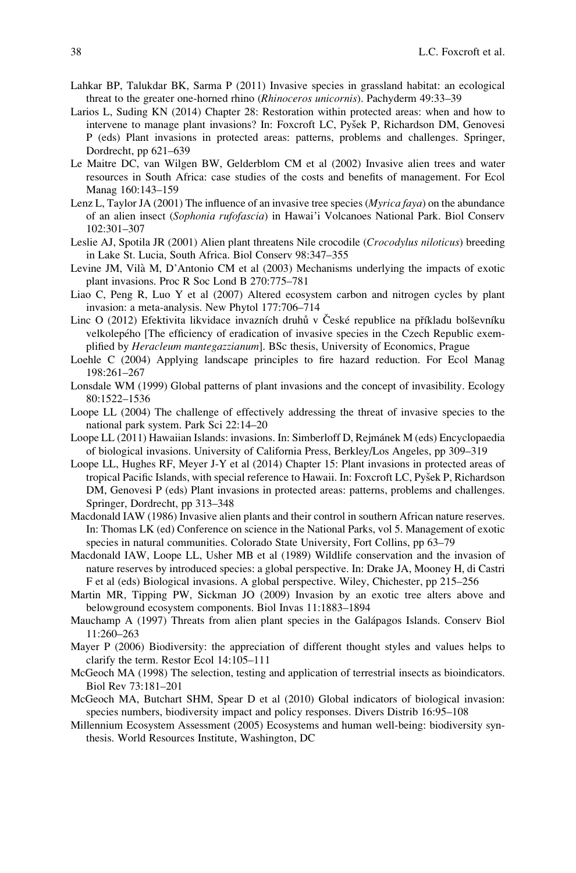- <span id="page-19-0"></span>Lahkar BP, Talukdar BK, Sarma P (2011) Invasive species in grassland habitat: an ecological threat to the greater one-horned rhino (*Rhinoceros unicornis*). Pachyderm 49:33–39
- Larios L, Suding KN (2014) Chapter 28: Restoration within protected areas: when and how to intervene to manage plant invasions? In: Foxcroft LC, Pyšek P, Richardson DM, Genovesi P (eds) Plant invasions in protected areas: patterns, problems and challenges. Springer, Dordrecht, pp 621–639
- Le Maitre DC, van Wilgen BW, Gelderblom CM et al (2002) Invasive alien trees and water resources in South Africa: case studies of the costs and benefits of management. For Ecol Manag 160:143–159
- Lenz L, Taylor JA (2001) The influence of an invasive tree species (Myrica faya) on the abundance of an alien insect (Sophonia rufofascia) in Hawai'i Volcanoes National Park. Biol Conserv 102:301–307
- Leslie AJ, Spotila JR (2001) Alien plant threatens Nile crocodile (Crocodylus niloticus) breeding in Lake St. Lucia, South Africa. Biol Conserv 98:347–355
- Levine JM, Vila` M, D'Antonio CM et al (2003) Mechanisms underlying the impacts of exotic plant invasions. Proc R Soc Lond B 270:775–781
- Liao C, Peng R, Luo Y et al (2007) Altered ecosystem carbon and nitrogen cycles by plant invasion: a meta-analysis. New Phytol 177:706–714
- Linc O (2012) Efektivita likvidace invazních druhů v České republice na příkladu bolševníku velkolepého [The efficiency of eradication of invasive species in the Czech Republic exemplified by Heracleum mantegazzianum]. BSc thesis, University of Economics, Prague
- Loehle C (2004) Applying landscape principles to fire hazard reduction. For Ecol Manag 198:261–267
- Lonsdale WM (1999) Global patterns of plant invasions and the concept of invasibility. Ecology 80:1522–1536
- Loope LL (2004) The challenge of effectively addressing the threat of invasive species to the national park system. Park Sci 22:14–20
- Loope LL (2011) Hawaiian Islands: invasions. In: Simberloff D, Rejmánek M (eds) Encyclopaedia of biological invasions. University of California Press, Berkley/Los Angeles, pp 309–319
- Loope LL, Hughes RF, Meyer J-Y et al (2014) Chapter 15: Plant invasions in protected areas of tropical Pacific Islands, with special reference to Hawaii. In: Foxcroft LC, Pyšek P, Richardson DM, Genovesi P (eds) Plant invasions in protected areas: patterns, problems and challenges. Springer, Dordrecht, pp 313–348
- Macdonald IAW (1986) Invasive alien plants and their control in southern African nature reserves. In: Thomas LK (ed) Conference on science in the National Parks, vol 5. Management of exotic species in natural communities. Colorado State University, Fort Collins, pp 63–79
- Macdonald IAW, Loope LL, Usher MB et al (1989) Wildlife conservation and the invasion of nature reserves by introduced species: a global perspective. In: Drake JA, Mooney H, di Castri F et al (eds) Biological invasions. A global perspective. Wiley, Chichester, pp 215–256
- Martin MR, Tipping PW, Sickman JO (2009) Invasion by an exotic tree alters above and belowground ecosystem components. Biol Invas 11:1883–1894
- Mauchamp A (1997) Threats from alien plant species in the Galápagos Islands. Conserv Biol 11:260–263
- Mayer P (2006) Biodiversity: the appreciation of different thought styles and values helps to clarify the term. Restor Ecol 14:105–111
- McGeoch MA (1998) The selection, testing and application of terrestrial insects as bioindicators. Biol Rev 73:181–201
- McGeoch MA, Butchart SHM, Spear D et al (2010) Global indicators of biological invasion: species numbers, biodiversity impact and policy responses. Divers Distrib 16:95–108
- Millennium Ecosystem Assessment (2005) Ecosystems and human well-being: biodiversity synthesis. World Resources Institute, Washington, DC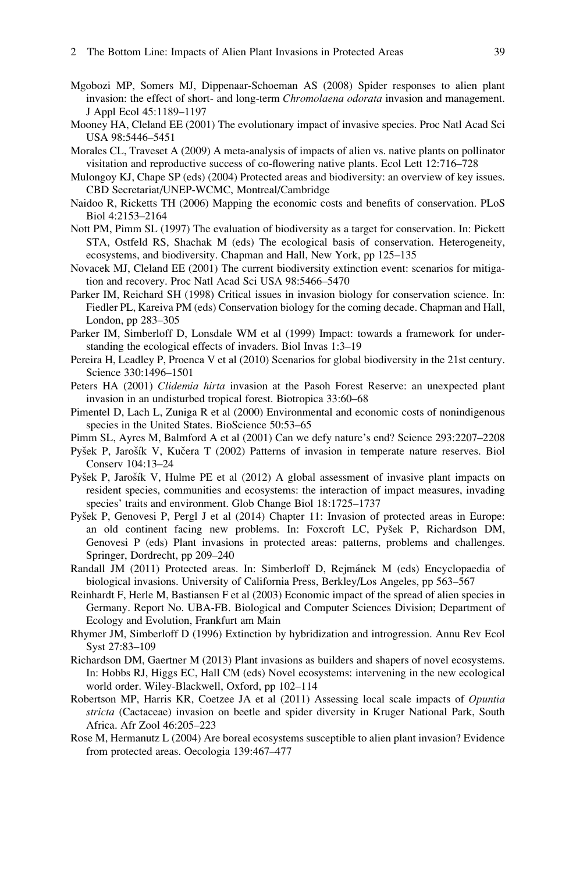- <span id="page-20-0"></span>Mgobozi MP, Somers MJ, Dippenaar-Schoeman AS (2008) Spider responses to alien plant invasion: the effect of short- and long-term *Chromolaena odorata* invasion and management. J Appl Ecol 45:1189–1197
- Mooney HA, Cleland EE (2001) The evolutionary impact of invasive species. Proc Natl Acad Sci USA 98:5446–5451
- Morales CL, Traveset A (2009) A meta-analysis of impacts of alien vs. native plants on pollinator visitation and reproductive success of co-flowering native plants. Ecol Lett 12:716–728
- Mulongoy KJ, Chape SP (eds) (2004) Protected areas and biodiversity: an overview of key issues. CBD Secretariat/UNEP-WCMC, Montreal/Cambridge
- Naidoo R, Ricketts TH (2006) Mapping the economic costs and benefits of conservation. PLoS Biol 4:2153–2164
- Nott PM, Pimm SL (1997) The evaluation of biodiversity as a target for conservation. In: Pickett STA, Ostfeld RS, Shachak M (eds) The ecological basis of conservation. Heterogeneity, ecosystems, and biodiversity. Chapman and Hall, New York, pp 125–135
- Novacek MJ, Cleland EE (2001) The current biodiversity extinction event: scenarios for mitigation and recovery. Proc Natl Acad Sci USA 98:5466–5470
- Parker IM, Reichard SH (1998) Critical issues in invasion biology for conservation science. In: Fiedler PL, Kareiva PM (eds) Conservation biology for the coming decade. Chapman and Hall, London, pp 283–305
- Parker IM, Simberloff D, Lonsdale WM et al (1999) Impact: towards a framework for understanding the ecological effects of invaders. Biol Invas 1:3–19
- Pereira H, Leadley P, Proenca V et al (2010) Scenarios for global biodiversity in the 21st century. Science 330:1496–1501
- Peters HA (2001) Clidemia hirta invasion at the Pasoh Forest Reserve: an unexpected plant invasion in an undisturbed tropical forest. Biotropica 33:60–68
- Pimentel D, Lach L, Zuniga R et al (2000) Environmental and economic costs of nonindigenous species in the United States. BioScience 50:53-65
- Pimm SL, Ayres M, Balmford A et al (2001) Can we defy nature's end? Science 293:2207–2208
- Pyšek P, Jarošík V, Kučera T (2002) Patterns of invasion in temperate nature reserves. Biol Conserv 104:13–24
- Pyšek P, Jarošík V, Hulme PE et al (2012) A global assessment of invasive plant impacts on resident species, communities and ecosystems: the interaction of impact measures, invading species' traits and environment. Glob Change Biol 18:1725–1737
- Pyšek P, Genovesi P, Pergl J et al (2014) Chapter 11: Invasion of protected areas in Europe: an old continent facing new problems. In: Foxcroft LC, Pyšek P, Richardson DM, Genovesi P (eds) Plant invasions in protected areas: patterns, problems and challenges. Springer, Dordrecht, pp 209–240
- Randall JM (2011) Protected areas. In: Simberloff D, Rejmánek M (eds) Encyclopaedia of biological invasions. University of California Press, Berkley/Los Angeles, pp 563–567
- Reinhardt F, Herle M, Bastiansen F et al (2003) Economic impact of the spread of alien species in Germany. Report No. UBA-FB. Biological and Computer Sciences Division; Department of Ecology and Evolution, Frankfurt am Main
- Rhymer JM, Simberloff D (1996) Extinction by hybridization and introgression. Annu Rev Ecol Syst 27:83–109
- Richardson DM, Gaertner M (2013) Plant invasions as builders and shapers of novel ecosystems. In: Hobbs RJ, Higgs EC, Hall CM (eds) Novel ecosystems: intervening in the new ecological world order. Wiley-Blackwell, Oxford, pp 102–114
- Robertson MP, Harris KR, Coetzee JA et al (2011) Assessing local scale impacts of Opuntia stricta (Cactaceae) invasion on beetle and spider diversity in Kruger National Park, South Africa. Afr Zool 46:205–223
- Rose M, Hermanutz L (2004) Are boreal ecosystems susceptible to alien plant invasion? Evidence from protected areas. Oecologia 139:467–477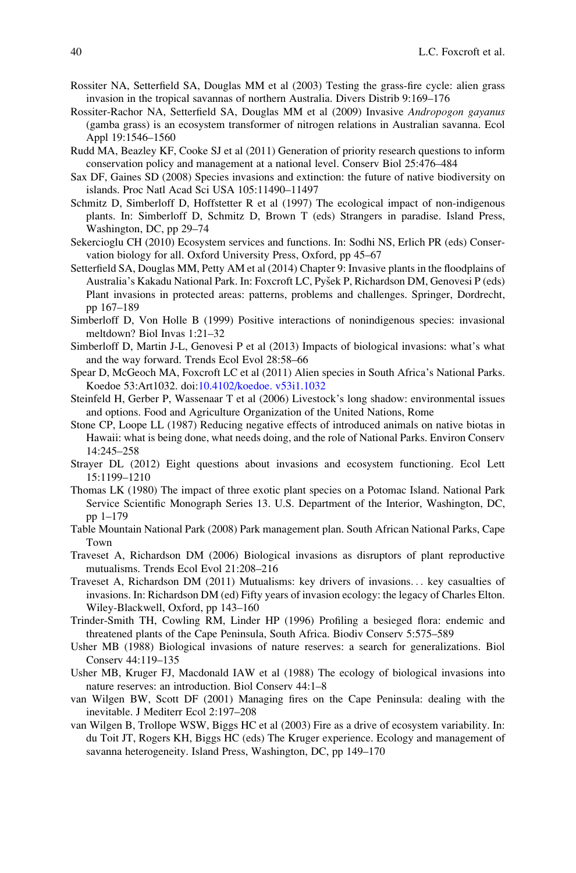- <span id="page-21-0"></span>Rossiter NA, Setterfield SA, Douglas MM et al (2003) Testing the grass-fire cycle: alien grass invasion in the tropical savannas of northern Australia. Divers Distrib 9:169–176
- Rossiter-Rachor NA, Setterfield SA, Douglas MM et al (2009) Invasive Andropogon gayanus (gamba grass) is an ecosystem transformer of nitrogen relations in Australian savanna. Ecol Appl 19:1546–1560
- Rudd MA, Beazley KF, Cooke SJ et al (2011) Generation of priority research questions to inform conservation policy and management at a national level. Conserv Biol 25:476–484
- Sax DF, Gaines SD (2008) Species invasions and extinction: the future of native biodiversity on islands. Proc Natl Acad Sci USA 105:11490–11497
- Schmitz D, Simberloff D, Hoffstetter R et al (1997) The ecological impact of non-indigenous plants. In: Simberloff D, Schmitz D, Brown T (eds) Strangers in paradise. Island Press, Washington, DC, pp 29–74
- Sekercioglu CH (2010) Ecosystem services and functions. In: Sodhi NS, Erlich PR (eds) Conservation biology for all. Oxford University Press, Oxford, pp 45–67
- Setterfield SA, Douglas MM, Petty AM et al (2014) Chapter 9: Invasive plants in the floodplains of Australia's Kakadu National Park. In: Foxcroft LC, Pyšek P, Richardson DM, Genovesi P (eds) Plant invasions in protected areas: patterns, problems and challenges. Springer, Dordrecht, pp 167–189
- Simberloff D, Von Holle B (1999) Positive interactions of nonindigenous species: invasional meltdown? Biol Invas 1:21–32
- Simberloff D, Martin J-L, Genovesi P et al (2013) Impacts of biological invasions: what's what and the way forward. Trends Ecol Evol 28:58–66
- Spear D, McGeoch MA, Foxcroft LC et al (2011) Alien species in South Africa's National Parks. Koedoe 53:Art1032. doi[:10.4102/koedoe. v53i1.1032](http://dx.doi.org/10.4102/koedoe. v53i1.1032)
- Steinfeld H, Gerber P, Wassenaar T et al (2006) Livestock's long shadow: environmental issues and options. Food and Agriculture Organization of the United Nations, Rome
- Stone CP, Loope LL (1987) Reducing negative effects of introduced animals on native biotas in Hawaii: what is being done, what needs doing, and the role of National Parks. Environ Conserv 14:245–258
- Strayer DL (2012) Eight questions about invasions and ecosystem functioning. Ecol Lett 15:1199–1210
- Thomas LK (1980) The impact of three exotic plant species on a Potomac Island. National Park Service Scientific Monograph Series 13. U.S. Department of the Interior, Washington, DC, pp 1–179
- Table Mountain National Park (2008) Park management plan. South African National Parks, Cape Town
- Traveset A, Richardson DM (2006) Biological invasions as disruptors of plant reproductive mutualisms. Trends Ecol Evol 21:208–216
- Traveset A, Richardson DM (2011) Mutualisms: key drivers of invasions... key casualties of invasions. In: Richardson DM (ed) Fifty years of invasion ecology: the legacy of Charles Elton. Wiley-Blackwell, Oxford, pp 143–160
- Trinder-Smith TH, Cowling RM, Linder HP (1996) Profiling a besieged flora: endemic and threatened plants of the Cape Peninsula, South Africa. Biodiv Conserv 5:575–589
- Usher MB (1988) Biological invasions of nature reserves: a search for generalizations. Biol Conserv 44:119–135
- Usher MB, Kruger FJ, Macdonald IAW et al (1988) The ecology of biological invasions into nature reserves: an introduction. Biol Conserv 44:1–8
- van Wilgen BW, Scott DF (2001) Managing fires on the Cape Peninsula: dealing with the inevitable. J Mediterr Ecol 2:197–208
- van Wilgen B, Trollope WSW, Biggs HC et al (2003) Fire as a drive of ecosystem variability. In: du Toit JT, Rogers KH, Biggs HC (eds) The Kruger experience. Ecology and management of savanna heterogeneity. Island Press, Washington, DC, pp 149–170